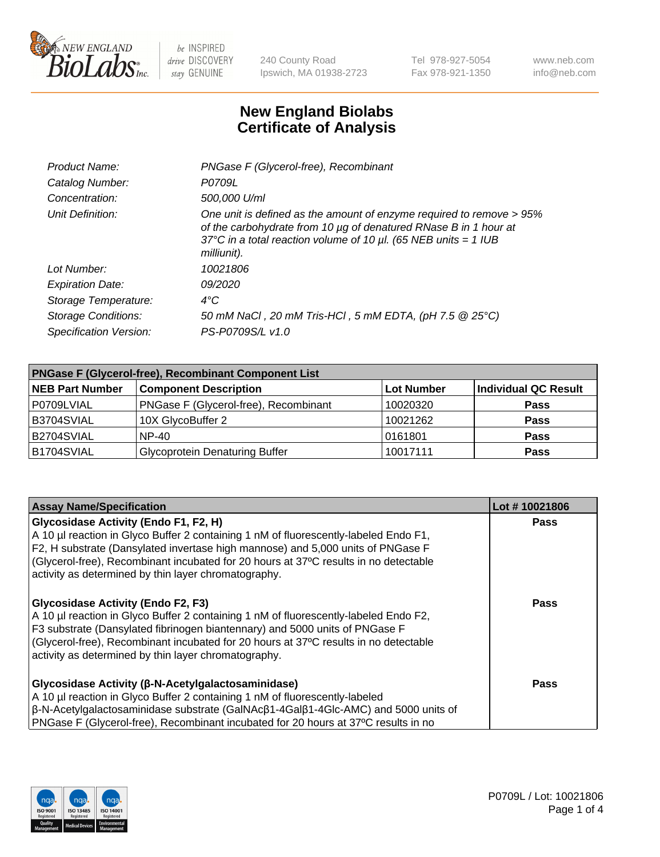

240 County Road Ipswich, MA 01938-2723 Tel 978-927-5054 Fax 978-921-1350 www.neb.com info@neb.com

## **New England Biolabs Certificate of Analysis**

| Product Name:              | PNGase F (Glycerol-free), Recombinant                                                                                                                                                                                           |
|----------------------------|---------------------------------------------------------------------------------------------------------------------------------------------------------------------------------------------------------------------------------|
| Catalog Number:            | P0709L                                                                                                                                                                                                                          |
| Concentration:             | 500,000 U/ml                                                                                                                                                                                                                    |
| Unit Definition:           | One unit is defined as the amount of enzyme required to remove > 95%<br>of the carbohydrate from 10 µg of denatured RNase B in 1 hour at<br>37°C in a total reaction volume of 10 $\mu$ l. (65 NEB units = 1 IUB<br>milliunit). |
| Lot Number:                | 10021806                                                                                                                                                                                                                        |
| <b>Expiration Date:</b>    | 09/2020                                                                                                                                                                                                                         |
| Storage Temperature:       | $4^{\circ}C$                                                                                                                                                                                                                    |
| <b>Storage Conditions:</b> | 50 mM NaCl, 20 mM Tris-HCl, 5 mM EDTA, (pH 7.5 @ 25°C)                                                                                                                                                                          |
| Specification Version:     | PS-P0709S/L v1.0                                                                                                                                                                                                                |

| <b>PNGase F (Glycerol-free), Recombinant Component List</b> |                                       |                   |                      |  |
|-------------------------------------------------------------|---------------------------------------|-------------------|----------------------|--|
| <b>NEB Part Number</b>                                      | <b>Component Description</b>          | <b>Lot Number</b> | Individual QC Result |  |
| P0709LVIAL                                                  | PNGase F (Glycerol-free), Recombinant | 10020320          | <b>Pass</b>          |  |
| B3704SVIAL                                                  | 10X GlycoBuffer 2                     | 10021262          | <b>Pass</b>          |  |
| B2704SVIAL                                                  | <b>NP-40</b>                          | 0161801           | <b>Pass</b>          |  |
| B1704SVIAL                                                  | <b>Glycoprotein Denaturing Buffer</b> | 10017111          | <b>Pass</b>          |  |

| <b>Assay Name/Specification</b>                                                                                                                                                                                                                                                                                                                                  | Lot #10021806 |
|------------------------------------------------------------------------------------------------------------------------------------------------------------------------------------------------------------------------------------------------------------------------------------------------------------------------------------------------------------------|---------------|
| Glycosidase Activity (Endo F1, F2, H)<br>A 10 µl reaction in Glyco Buffer 2 containing 1 nM of fluorescently-labeled Endo F1,<br>F2, H substrate (Dansylated invertase high mannose) and 5,000 units of PNGase F<br>(Glycerol-free), Recombinant incubated for 20 hours at 37°C results in no detectable<br>activity as determined by thin layer chromatography. | <b>Pass</b>   |
| <b>Glycosidase Activity (Endo F2, F3)</b><br>A 10 µl reaction in Glyco Buffer 2 containing 1 nM of fluorescently-labeled Endo F2,<br>F3 substrate (Dansylated fibrinogen biantennary) and 5000 units of PNGase F<br>(Glycerol-free), Recombinant incubated for 20 hours at 37°C results in no detectable<br>activity as determined by thin layer chromatography. | Pass          |
| Glycosidase Activity (β-N-Acetylgalactosaminidase)<br>A 10 µl reaction in Glyco Buffer 2 containing 1 nM of fluorescently-labeled<br>$\beta$ -N-Acetylgalactosaminidase substrate (GalNAc $\beta$ 1-4Gal $\beta$ 1-4Glc-AMC) and 5000 units of<br>PNGase F (Glycerol-free), Recombinant incubated for 20 hours at 37°C results in no                             | Pass          |

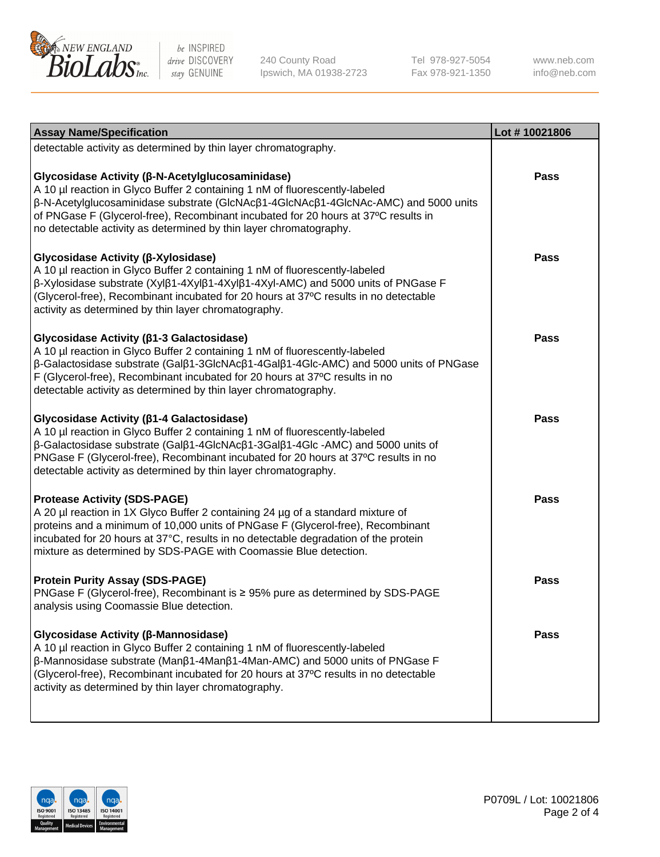

240 County Road Ipswich, MA 01938-2723 Tel 978-927-5054 Fax 978-921-1350 www.neb.com info@neb.com

| <b>Assay Name/Specification</b>                                                                                                                                                                                                                                                                                                                                                                            | Lot #10021806 |
|------------------------------------------------------------------------------------------------------------------------------------------------------------------------------------------------------------------------------------------------------------------------------------------------------------------------------------------------------------------------------------------------------------|---------------|
| detectable activity as determined by thin layer chromatography.                                                                                                                                                                                                                                                                                                                                            |               |
| Glycosidase Activity (β-N-Acetylglucosaminidase)<br>A 10 µl reaction in Glyco Buffer 2 containing 1 nM of fluorescently-labeled<br>β-N-Acetylglucosaminidase substrate (GIcNAcβ1-4GIcNAcβ1-4GIcNAc-AMC) and 5000 units<br>of PNGase F (Glycerol-free), Recombinant incubated for 20 hours at 37°C results in<br>no detectable activity as determined by thin layer chromatography.                         | <b>Pass</b>   |
| Glycosidase Activity (β-Xylosidase)<br>A 10 µl reaction in Glyco Buffer 2 containing 1 nM of fluorescently-labeled<br>$\beta$ -Xylosidase substrate (Xyl $\beta$ 1-4Xyl $\beta$ 1-4Xyl $\beta$ 1-4Xyl-AMC) and 5000 units of PNGase F<br>(Glycerol-free), Recombinant incubated for 20 hours at 37°C results in no detectable<br>activity as determined by thin layer chromatography.                      | <b>Pass</b>   |
| Glycosidase Activity (β1-3 Galactosidase)<br>A 10 µl reaction in Glyco Buffer 2 containing 1 nM of fluorescently-labeled<br>β-Galactosidase substrate (Galβ1-3GlcNAcβ1-4Galβ1-4Glc-AMC) and 5000 units of PNGase<br>F (Glycerol-free), Recombinant incubated for 20 hours at 37°C results in no<br>detectable activity as determined by thin layer chromatography.                                         | Pass          |
| Glycosidase Activity ( $\beta$ 1-4 Galactosidase)<br>A 10 µl reaction in Glyco Buffer 2 containing 1 nM of fluorescently-labeled<br>$\beta$ -Galactosidase substrate (Gal $\beta$ 1-4GlcNAc $\beta$ 1-3Gal $\beta$ 1-4Glc -AMC) and 5000 units of<br>PNGase F (Glycerol-free), Recombinant incubated for 20 hours at 37°C results in no<br>detectable activity as determined by thin layer chromatography. | <b>Pass</b>   |
| <b>Protease Activity (SDS-PAGE)</b><br>A 20 µl reaction in 1X Glyco Buffer 2 containing 24 µg of a standard mixture of<br>proteins and a minimum of 10,000 units of PNGase F (Glycerol-free), Recombinant<br>incubated for 20 hours at 37°C, results in no detectable degradation of the protein<br>mixture as determined by SDS-PAGE with Coomassie Blue detection.                                       | <b>Pass</b>   |
| <b>Protein Purity Assay (SDS-PAGE)</b><br>PNGase F (Glycerol-free), Recombinant is ≥ 95% pure as determined by SDS-PAGE<br>analysis using Coomassie Blue detection.                                                                                                                                                                                                                                        | Pass          |
| Glycosidase Activity (β-Mannosidase)<br>A 10 µl reaction in Glyco Buffer 2 containing 1 nM of fluorescently-labeled<br>β-Mannosidase substrate (Manβ1-4Manβ1-4Man-AMC) and 5000 units of PNGase F<br>(Glycerol-free), Recombinant incubated for 20 hours at 37°C results in no detectable<br>activity as determined by thin layer chromatography.                                                          | <b>Pass</b>   |

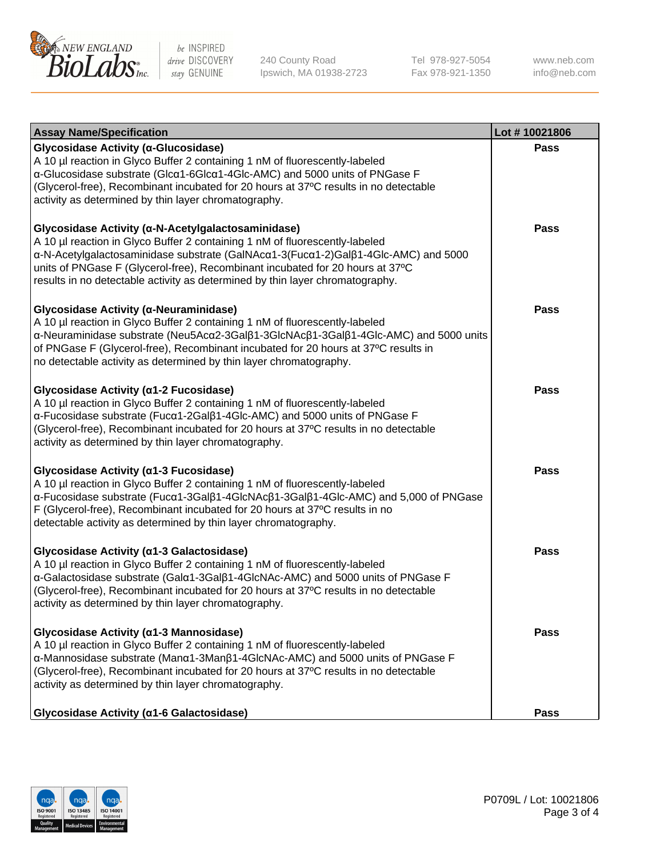

240 County Road Ipswich, MA 01938-2723 Tel 978-927-5054 Fax 978-921-1350 www.neb.com info@neb.com

| <b>Assay Name/Specification</b>                                                                                                                                                                                                                                                                                                                                                           | Lot #10021806 |
|-------------------------------------------------------------------------------------------------------------------------------------------------------------------------------------------------------------------------------------------------------------------------------------------------------------------------------------------------------------------------------------------|---------------|
| Glycosidase Activity (α-Glucosidase)<br>A 10 µl reaction in Glyco Buffer 2 containing 1 nM of fluorescently-labeled<br>a-Glucosidase substrate (Glca1-6Glca1-4Glc-AMC) and 5000 units of PNGase F<br>(Glycerol-free), Recombinant incubated for 20 hours at 37°C results in no detectable<br>activity as determined by thin layer chromatography.                                         | Pass          |
| Glycosidase Activity (α-N-Acetylgalactosaminidase)<br>A 10 µl reaction in Glyco Buffer 2 containing 1 nM of fluorescently-labeled<br>α-N-Acetylgalactosaminidase substrate (GalNAcα1-3(Fucα1-2)Galβ1-4Glc-AMC) and 5000<br>units of PNGase F (Glycerol-free), Recombinant incubated for 20 hours at 37°C<br>results in no detectable activity as determined by thin layer chromatography. | <b>Pass</b>   |
| Glycosidase Activity (α-Neuraminidase)<br>A 10 µl reaction in Glyco Buffer 2 containing 1 nM of fluorescently-labeled<br>α-Neuraminidase substrate (Neu5Acα2-3Galβ1-3GlcNAcβ1-3Galβ1-4Glc-AMC) and 5000 units<br>of PNGase F (Glycerol-free), Recombinant incubated for 20 hours at 37°C results in<br>no detectable activity as determined by thin layer chromatography.                 | <b>Pass</b>   |
| Glycosidase Activity (α1-2 Fucosidase)<br>A 10 µl reaction in Glyco Buffer 2 containing 1 nM of fluorescently-labeled<br>α-Fucosidase substrate (Fucα1-2Galβ1-4Glc-AMC) and 5000 units of PNGase F<br>(Glycerol-free), Recombinant incubated for 20 hours at 37°C results in no detectable<br>activity as determined by thin layer chromatography.                                        | <b>Pass</b>   |
| Glycosidase Activity (α1-3 Fucosidase)<br>A 10 µl reaction in Glyco Buffer 2 containing 1 nM of fluorescently-labeled<br>α-Fucosidase substrate (Fucα1-3Galβ1-4GlcNAcβ1-3Galβ1-4Glc-AMC) and 5,000 of PNGase<br>F (Glycerol-free), Recombinant incubated for 20 hours at 37°C results in no<br>detectable activity as determined by thin layer chromatography.                            | <b>Pass</b>   |
| Glycosidase Activity (a1-3 Galactosidase)<br>A 10 µl reaction in Glyco Buffer 2 containing 1 nM of fluorescently-labeled<br>α-Galactosidase substrate (Galα1-3Galβ1-4GlcNAc-AMC) and 5000 units of PNGase F<br>(Glycerol-free), Recombinant incubated for 20 hours at 37°C results in no detectable<br>activity as determined by thin layer chromatography.                               | <b>Pass</b>   |
| Glycosidase Activity (α1-3 Mannosidase)<br>A 10 µl reaction in Glyco Buffer 2 containing 1 nM of fluorescently-labeled<br>α-Mannosidase substrate (Manα1-3Manβ1-4GlcNAc-AMC) and 5000 units of PNGase F<br>(Glycerol-free), Recombinant incubated for 20 hours at 37°C results in no detectable<br>activity as determined by thin layer chromatography.                                   | Pass          |
| Glycosidase Activity (α1-6 Galactosidase)                                                                                                                                                                                                                                                                                                                                                 | <b>Pass</b>   |